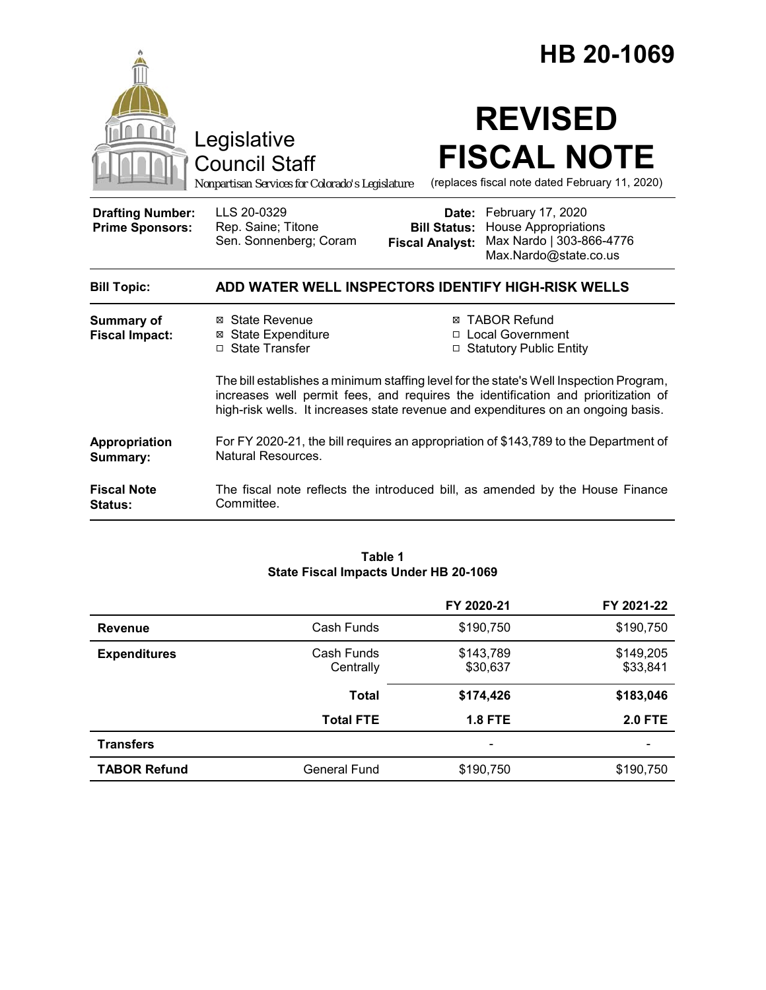|                                                   |                                                                                                                                                                                                                                                                  | HB 20-1069                                                                                                                                                      |  |
|---------------------------------------------------|------------------------------------------------------------------------------------------------------------------------------------------------------------------------------------------------------------------------------------------------------------------|-----------------------------------------------------------------------------------------------------------------------------------------------------------------|--|
|                                                   | Legislative<br><b>Council Staff</b><br>Nonpartisan Services for Colorado's Legislature                                                                                                                                                                           | <b>REVISED</b><br><b>FISCAL NOTE</b><br>(replaces fiscal note dated February 11, 2020)                                                                          |  |
| <b>Drafting Number:</b><br><b>Prime Sponsors:</b> | LLS 20-0329<br>Rep. Saine; Titone<br>Sen. Sonnenberg; Coram                                                                                                                                                                                                      | February 17, 2020<br>Date:<br><b>House Appropriations</b><br><b>Bill Status:</b><br>Max Nardo   303-866-4776<br><b>Fiscal Analyst:</b><br>Max.Nardo@state.co.us |  |
| <b>Bill Topic:</b>                                |                                                                                                                                                                                                                                                                  | ADD WATER WELL INSPECTORS IDENTIFY HIGH-RISK WELLS                                                                                                              |  |
| <b>Summary of</b><br><b>Fiscal Impact:</b>        | ⊠ State Revenue<br><b>⊠</b> State Expenditure<br>□ State Transfer                                                                                                                                                                                                | <b>⊠ TABOR Refund</b><br>□ Local Government<br>□ Statutory Public Entity                                                                                        |  |
|                                                   | The bill establishes a minimum staffing level for the state's Well Inspection Program,<br>increases well permit fees, and requires the identification and prioritization of<br>high-risk wells. It increases state revenue and expenditures on an ongoing basis. |                                                                                                                                                                 |  |
| Appropriation<br>Summary:                         | For FY 2020-21, the bill requires an appropriation of \$143,789 to the Department of<br>Natural Resources.                                                                                                                                                       |                                                                                                                                                                 |  |
| <b>Fiscal Note</b><br><b>Status:</b>              | Committee.                                                                                                                                                                                                                                                       | The fiscal note reflects the introduced bill, as amended by the House Finance                                                                                   |  |

#### **Table 1 State Fiscal Impacts Under HB 20-1069**

|                     |                         | FY 2020-21            | FY 2021-22            |
|---------------------|-------------------------|-----------------------|-----------------------|
| <b>Revenue</b>      | Cash Funds              | \$190,750             | \$190,750             |
| <b>Expenditures</b> | Cash Funds<br>Centrally | \$143,789<br>\$30,637 | \$149,205<br>\$33,841 |
|                     | <b>Total</b>            | \$174,426             | \$183,046             |
|                     | <b>Total FTE</b>        | <b>1.8 FTE</b>        | <b>2.0 FTE</b>        |
| <b>Transfers</b>    |                         |                       |                       |
| <b>TABOR Refund</b> | General Fund            | \$190,750             | \$190,750             |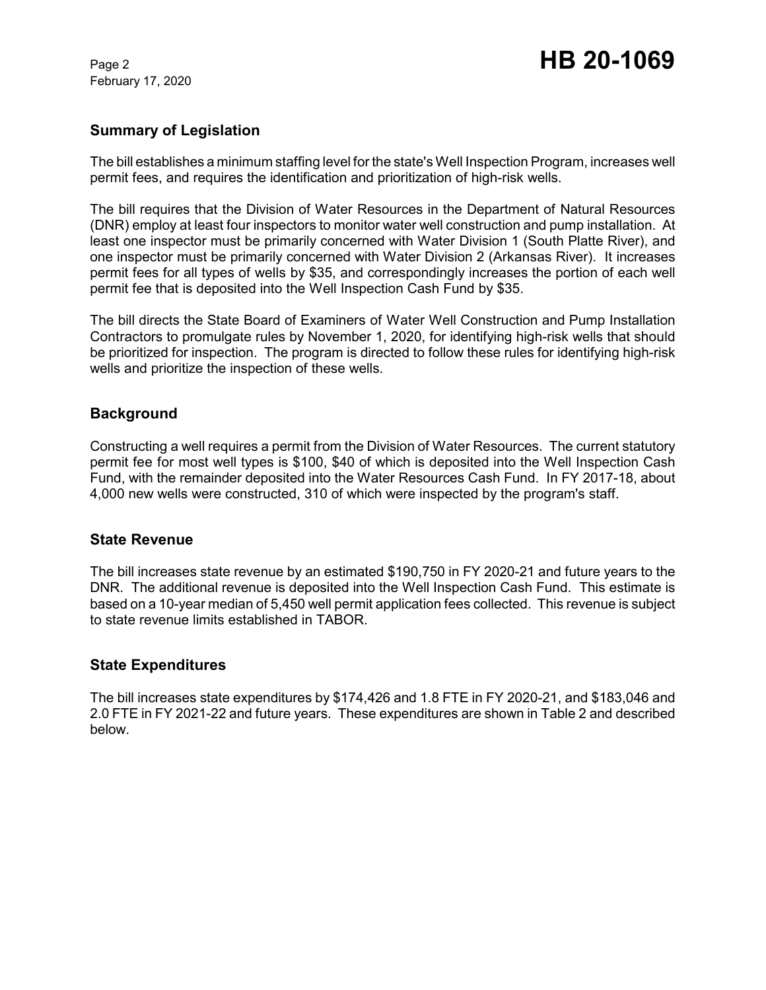February 17, 2020

# Page 2 **HB 20-1069**

### **Summary of Legislation**

The bill establishes a minimum staffing level for the state's Well Inspection Program, increases well permit fees, and requires the identification and prioritization of high-risk wells.

The bill requires that the Division of Water Resources in the Department of Natural Resources (DNR) employ at least four inspectors to monitor water well construction and pump installation. At least one inspector must be primarily concerned with Water Division 1 (South Platte River), and one inspector must be primarily concerned with Water Division 2 (Arkansas River). It increases permit fees for all types of wells by \$35, and correspondingly increases the portion of each well permit fee that is deposited into the Well Inspection Cash Fund by \$35.

The bill directs the State Board of Examiners of Water Well Construction and Pump Installation Contractors to promulgate rules by November 1, 2020, for identifying high-risk wells that should be prioritized for inspection. The program is directed to follow these rules for identifying high-risk wells and prioritize the inspection of these wells.

### **Background**

Constructing a well requires a permit from the Division of Water Resources. The current statutory permit fee for most well types is \$100, \$40 of which is deposited into the Well Inspection Cash Fund, with the remainder deposited into the Water Resources Cash Fund. In FY 2017-18, about 4,000 new wells were constructed, 310 of which were inspected by the program's staff.

### **State Revenue**

The bill increases state revenue by an estimated \$190,750 in FY 2020-21 and future years to the DNR. The additional revenue is deposited into the Well Inspection Cash Fund. This estimate is based on a 10-year median of 5,450 well permit application fees collected. This revenue is subject to state revenue limits established in TABOR.

### **State Expenditures**

The bill increases state expenditures by \$174,426 and 1.8 FTE in FY 2020-21, and \$183,046 and 2.0 FTE in FY 2021-22 and future years. These expenditures are shown in Table 2 and described below.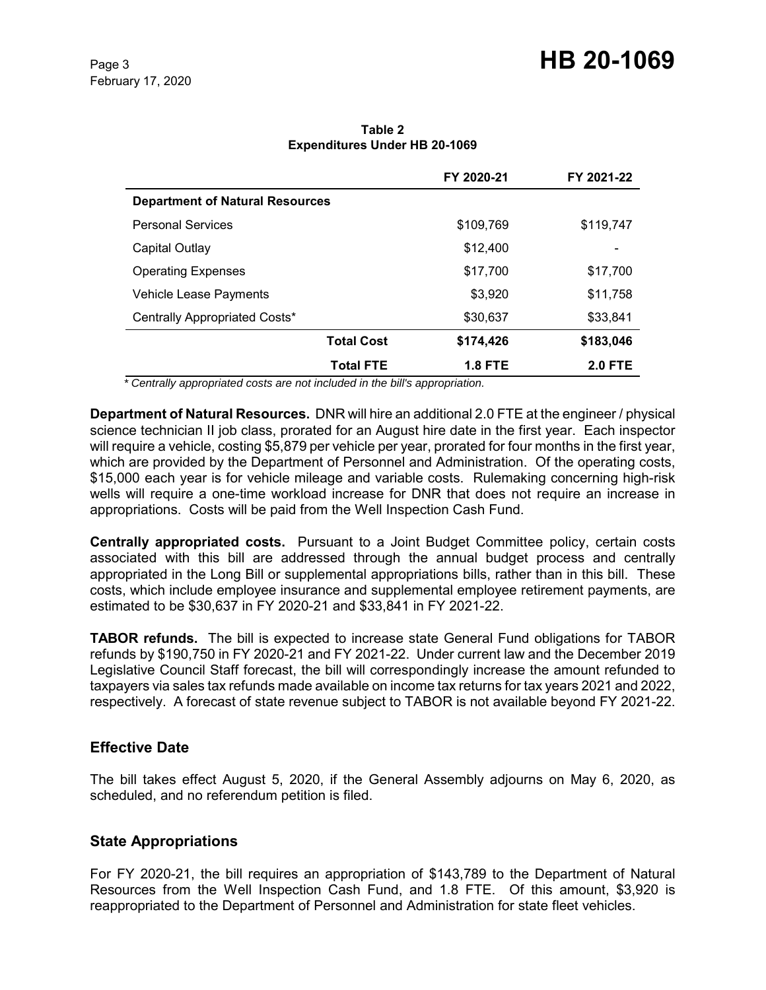# Page 3 **HB 20-1069**

|                                        | FY 2020-21        | FY 2021-22                       |  |
|----------------------------------------|-------------------|----------------------------------|--|
| <b>Department of Natural Resources</b> |                   |                                  |  |
| <b>Personal Services</b>               |                   | \$109,769<br>\$119,747           |  |
| Capital Outlay                         |                   | \$12,400                         |  |
| <b>Operating Expenses</b>              |                   | \$17,700<br>\$17,700             |  |
| Vehicle Lease Payments                 |                   | \$3,920<br>\$11,758              |  |
| Centrally Appropriated Costs*          |                   | \$30,637<br>\$33,841             |  |
|                                        | <b>Total Cost</b> | \$174,426<br>\$183,046           |  |
|                                        | <b>Total FTE</b>  | <b>1.8 FTE</b><br><b>2.0 FTE</b> |  |

**Table 2 Expenditures Under HB 20-1069**

 *\* Centrally appropriated costs are not included in the bill's appropriation.*

**Department of Natural Resources.** DNR will hire an additional 2.0 FTE at the engineer / physical science technician II job class, prorated for an August hire date in the first year. Each inspector will require a vehicle, costing \$5,879 per vehicle per year, prorated for four months in the first year, which are provided by the Department of Personnel and Administration. Of the operating costs, \$15,000 each year is for vehicle mileage and variable costs. Rulemaking concerning high-risk wells will require a one-time workload increase for DNR that does not require an increase in appropriations. Costs will be paid from the Well Inspection Cash Fund.

**Centrally appropriated costs.** Pursuant to a Joint Budget Committee policy, certain costs associated with this bill are addressed through the annual budget process and centrally appropriated in the Long Bill or supplemental appropriations bills, rather than in this bill. These costs, which include employee insurance and supplemental employee retirement payments, are estimated to be \$30,637 in FY 2020-21 and \$33,841 in FY 2021-22.

**TABOR refunds.** The bill is expected to increase state General Fund obligations for TABOR refunds by \$190,750 in FY 2020-21 and FY 2021-22. Under current law and the December 2019 Legislative Council Staff forecast, the bill will correspondingly increase the amount refunded to taxpayers via sales tax refunds made available on income tax returns for tax years 2021 and 2022, respectively. A forecast of state revenue subject to TABOR is not available beyond FY 2021-22.

### **Effective Date**

The bill takes effect August 5, 2020, if the General Assembly adjourns on May 6, 2020, as scheduled, and no referendum petition is filed.

### **State Appropriations**

For FY 2020-21, the bill requires an appropriation of \$143,789 to the Department of Natural Resources from the Well Inspection Cash Fund, and 1.8 FTE. Of this amount, \$3,920 is reappropriated to the Department of Personnel and Administration for state fleet vehicles.